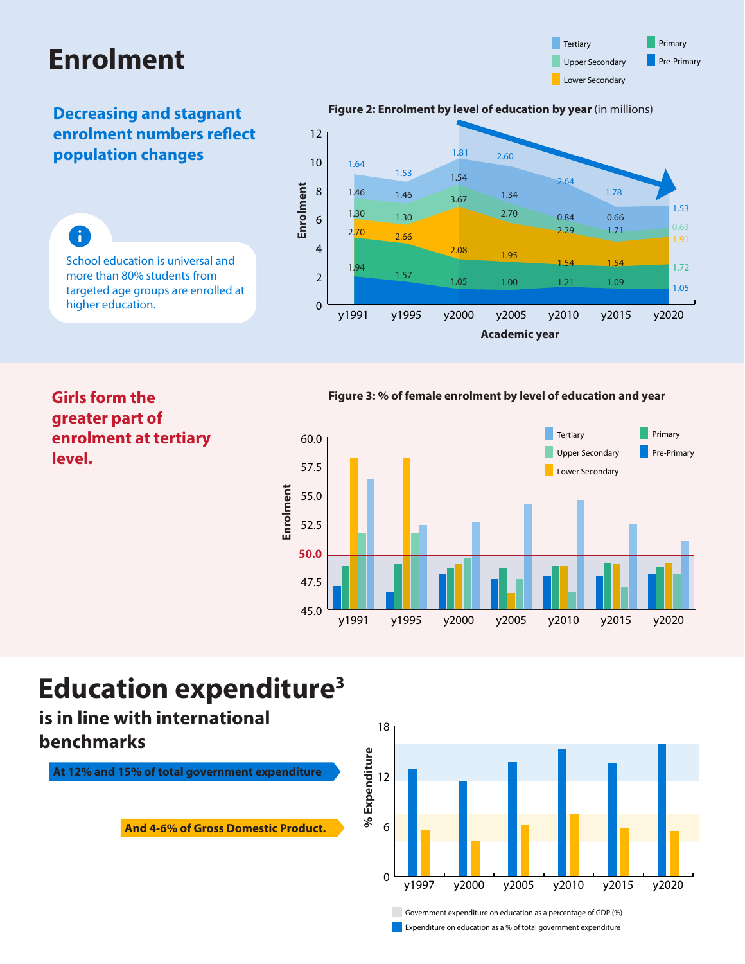# **Enrolment**



### **Decreasing and stagnant enrolment numbers reflect population changes**

#### **Figure 2: Enrolment by level of education by year** (in millions)



A School education is universal and more than 80% students from targeted age groups are enrolled at higher education.

#### **Figure 3: % of female enrolment by level of education and year**



### **Girls form the greater part of enrolment at tertiary level.**

## **Education expenditure<sup>3</sup>**

**is in line with international benchmarks**

**At 12% and 15% of total government expenditure**

**And 4-6% of Gross Domestic Product.**



**Expenditure on education as a % of total government expenditure**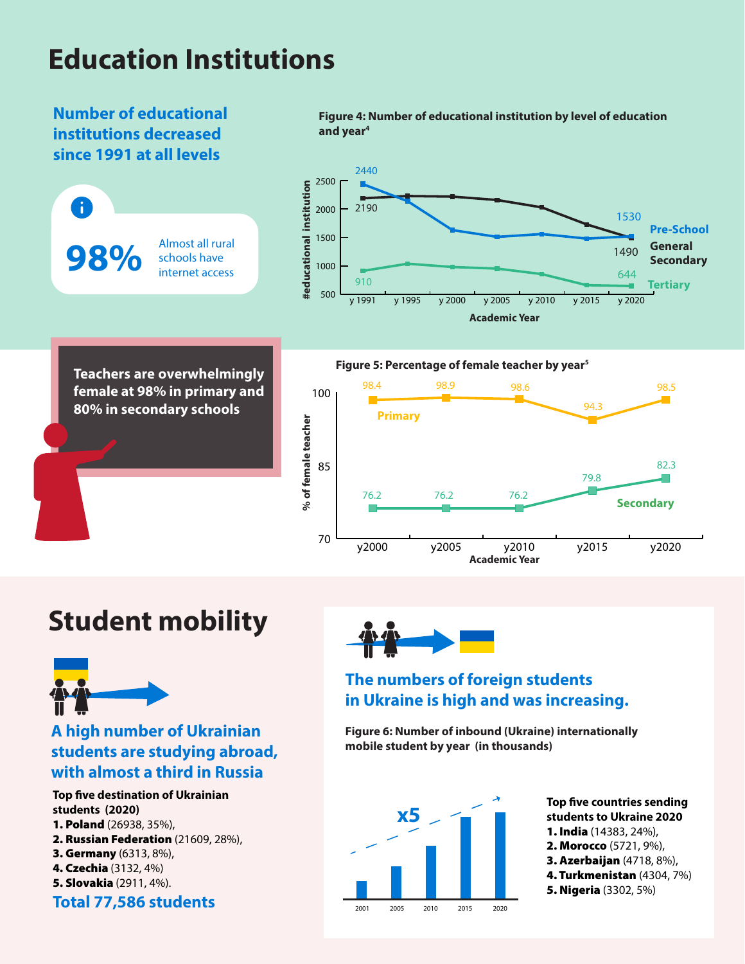# **Education Institutions**



## **Student mobility**



### **A high number of Ukrainian students are studying abroad, with almost a third in Russia**

**Top five destination of Ukrainian students (2020)** 1. Poland (26938, 35%), 2. Russian Federation (21609, 28%), 3. Germany (6313, 8%), 4. Czechia (3132, 4%) 5. Slovakia (2911, 4%).



### **The numbers of foreign students in Ukraine is high and was increasing.**

**Figure 6: Number of inbound (Ukraine) internationally mobile student by year (in thousands)**



**Top five countries sending students to Ukraine 2020** 1. India (14383, 24%), 2. Morocco (5721, 9%), 3. Azerbaijan (4718, 8%), 4. Turkmenistan (4304, 7%) 5. Nigeria (3302, 5%)